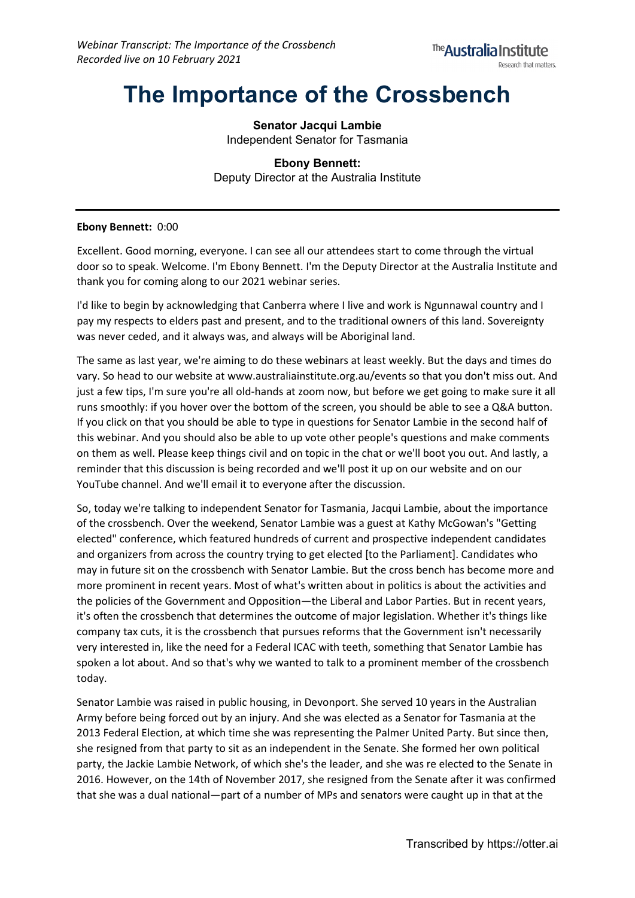# **The Importance of the Crossbench**

**Senator Jacqui Lambie** Independent Senator for Tasmania

**Ebony Bennett:** Deputy Director at the Australia Institute

# **Ebony Bennett:** 0:00

Excellent. Good morning, everyone. I can see all our attendees start to come through the virtual door so to speak. Welcome. I'm Ebony Bennett. I'm the Deputy Director at the Australia Institute and thank you for coming along to our 2021 webinar series.

I'd like to begin by acknowledging that Canberra where I live and work is Ngunnawal country and I pay my respects to elders past and present, and to the traditional owners of this land. Sovereignty was never ceded, and it always was, and always will be Aboriginal land.

The same as last year, we're aiming to do these webinars at least weekly. But the days and times do vary. So head to our website at www.australiainstitute.org.au/events so that you don't miss out. And just a few tips, I'm sure you're all old-hands at zoom now, but before we get going to make sure it all runs smoothly: if you hover over the bottom of the screen, you should be able to see a Q&A button. If you click on that you should be able to type in questions for Senator Lambie in the second half of this webinar. And you should also be able to up vote other people's questions and make comments on them as well. Please keep things civil and on topic in the chat or we'll boot you out. And lastly, a reminder that this discussion is being recorded and we'll post it up on our website and on our YouTube channel. And we'll email it to everyone after the discussion.

So, today we're talking to independent Senator for Tasmania, Jacqui Lambie, about the importance of the crossbench. Over the weekend, Senator Lambie was a guest at Kathy McGowan's "Getting elected" conference, which featured hundreds of current and prospective independent candidates and organizers from across the country trying to get elected [to the Parliament]. Candidates who may in future sit on the crossbench with Senator Lambie. But the cross bench has become more and more prominent in recent years. Most of what's written about in politics is about the activities and the policies of the Government and Opposition—the Liberal and Labor Parties. But in recent years, it's often the crossbench that determines the outcome of major legislation. Whether it's things like company tax cuts, it is the crossbench that pursues reforms that the Government isn't necessarily very interested in, like the need for a Federal ICAC with teeth, something that Senator Lambie has spoken a lot about. And so that's why we wanted to talk to a prominent member of the crossbench today.

Senator Lambie was raised in public housing, in Devonport. She served 10 years in the Australian Army before being forced out by an injury. And she was elected as a Senator for Tasmania at the 2013 Federal Election, at which time she was representing the Palmer United Party. But since then, she resigned from that party to sit as an independent in the Senate. She formed her own political party, the Jackie Lambie Network, of which she's the leader, and she was re elected to the Senate in 2016. However, on the 14th of November 2017, she resigned from the Senate after it was confirmed that she was a dual national—part of a number of MPs and senators were caught up in that at the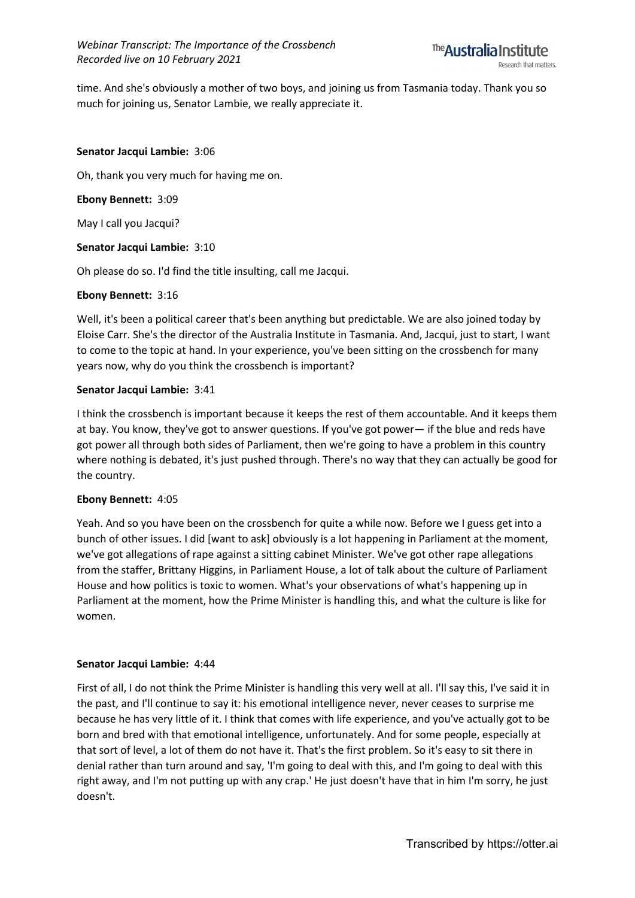

time. And she's obviously a mother of two boys, and joining us from Tasmania today. Thank you so much for joining us, Senator Lambie, we really appreciate it.

#### **Senator Jacqui Lambie:** 3:06

Oh, thank you very much for having me on.

#### **Ebony Bennett:** 3:09

May I call you Jacqui?

#### **Senator Jacqui Lambie:** 3:10

Oh please do so. I'd find the title insulting, call me Jacqui.

#### **Ebony Bennett:** 3:16

Well, it's been a political career that's been anything but predictable. We are also joined today by Eloise Carr. She's the director of the Australia Institute in Tasmania. And, Jacqui, just to start, I want to come to the topic at hand. In your experience, you've been sitting on the crossbench for many years now, why do you think the crossbench is important?

#### **Senator Jacqui Lambie:** 3:41

I think the crossbench is important because it keeps the rest of them accountable. And it keeps them at bay. You know, they've got to answer questions. If you've got power— if the blue and reds have got power all through both sides of Parliament, then we're going to have a problem in this country where nothing is debated, it's just pushed through. There's no way that they can actually be good for the country.

#### **Ebony Bennett:** 4:05

Yeah. And so you have been on the crossbench for quite a while now. Before we I guess get into a bunch of other issues. I did [want to ask] obviously is a lot happening in Parliament at the moment, we've got allegations of rape against a sitting cabinet Minister. We've got other rape allegations from the staffer, Brittany Higgins, in Parliament House, a lot of talk about the culture of Parliament House and how politics is toxic to women. What's your observations of what's happening up in Parliament at the moment, how the Prime Minister is handling this, and what the culture is like for women.

# **Senator Jacqui Lambie:** 4:44

First of all, I do not think the Prime Minister is handling this very well at all. I'll say this, I've said it in the past, and I'll continue to say it: his emotional intelligence never, never ceases to surprise me because he has very little of it. I think that comes with life experience, and you've actually got to be born and bred with that emotional intelligence, unfortunately. And for some people, especially at that sort of level, a lot of them do not have it. That's the first problem. So it's easy to sit there in denial rather than turn around and say, 'I'm going to deal with this, and I'm going to deal with this right away, and I'm not putting up with any crap.' He just doesn't have that in him I'm sorry, he just doesn't.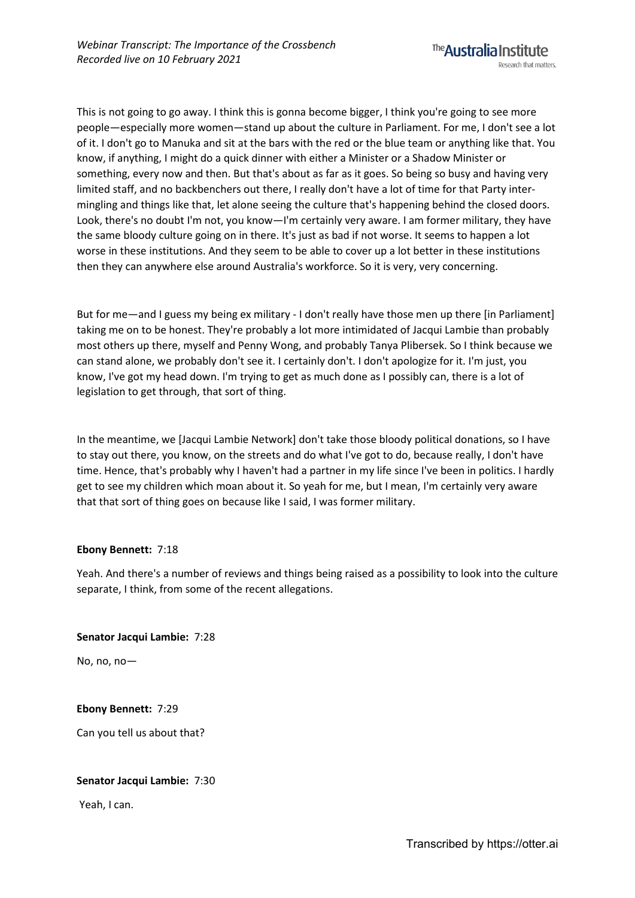This is not going to go away. I think this is gonna become bigger, I think you're going to see more people—especially more women—stand up about the culture in Parliament. For me, I don't see a lot of it. I don't go to Manuka and sit at the bars with the red or the blue team or anything like that. You know, if anything, I might do a quick dinner with either a Minister or a Shadow Minister or something, every now and then. But that's about as far as it goes. So being so busy and having very limited staff, and no backbenchers out there, I really don't have a lot of time for that Party intermingling and things like that, let alone seeing the culture that's happening behind the closed doors. Look, there's no doubt I'm not, you know—I'm certainly very aware. I am former military, they have the same bloody culture going on in there. It's just as bad if not worse. It seems to happen a lot worse in these institutions. And they seem to be able to cover up a lot better in these institutions then they can anywhere else around Australia's workforce. So it is very, very concerning.

But for me—and I guess my being ex military - I don't really have those men up there [in Parliament] taking me on to be honest. They're probably a lot more intimidated of Jacqui Lambie than probably most others up there, myself and Penny Wong, and probably Tanya Plibersek. So I think because we can stand alone, we probably don't see it. I certainly don't. I don't apologize for it. I'm just, you know, I've got my head down. I'm trying to get as much done as I possibly can, there is a lot of legislation to get through, that sort of thing.

In the meantime, we [Jacqui Lambie Network] don't take those bloody political donations, so I have to stay out there, you know, on the streets and do what I've got to do, because really, I don't have time. Hence, that's probably why I haven't had a partner in my life since I've been in politics. I hardly get to see my children which moan about it. So yeah for me, but I mean, I'm certainly very aware that that sort of thing goes on because like I said, I was former military.

# **Ebony Bennett:** 7:18

Yeah. And there's a number of reviews and things being raised as a possibility to look into the culture separate, I think, from some of the recent allegations.

**Senator Jacqui Lambie:** 7:28

No, no,  $no-$ 

**Ebony Bennett:** 7:29

Can you tell us about that?

# **Senator Jacqui Lambie:** 7:30

Yeah, I can.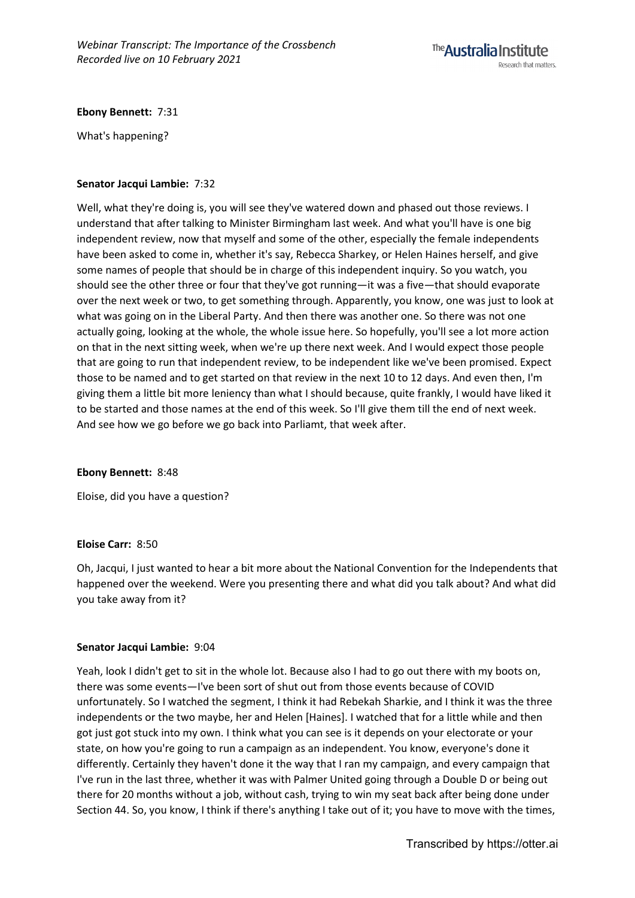

# **Ebony Bennett:** 7:31

What's happening?

# **Senator Jacqui Lambie:** 7:32

Well, what they're doing is, you will see they've watered down and phased out those reviews. I understand that after talking to Minister Birmingham last week. And what you'll have is one big independent review, now that myself and some of the other, especially the female independents have been asked to come in, whether it's say, Rebecca Sharkey, or Helen Haines herself, and give some names of people that should be in charge of this independent inquiry. So you watch, you should see the other three or four that they've got running—it was a five—that should evaporate over the next week or two, to get something through. Apparently, you know, one was just to look at what was going on in the Liberal Party. And then there was another one. So there was not one actually going, looking at the whole, the whole issue here. So hopefully, you'll see a lot more action on that in the next sitting week, when we're up there next week. And I would expect those people that are going to run that independent review, to be independent like we've been promised. Expect those to be named and to get started on that review in the next 10 to 12 days. And even then, I'm giving them a little bit more leniency than what I should because, quite frankly, I would have liked it to be started and those names at the end of this week. So I'll give them till the end of next week. And see how we go before we go back into Parliamt, that week after.

# **Ebony Bennett:** 8:48

Eloise, did you have a question?

# **Eloise Carr:** 8:50

Oh, Jacqui, I just wanted to hear a bit more about the National Convention for the Independents that happened over the weekend. Were you presenting there and what did you talk about? And what did you take away from it?

# **Senator Jacqui Lambie:** 9:04

Yeah, look I didn't get to sit in the whole lot. Because also I had to go out there with my boots on, there was some events—I've been sort of shut out from those events because of COVID unfortunately. So I watched the segment, I think it had Rebekah Sharkie, and I think it was the three independents or the two maybe, her and Helen [Haines]. I watched that for a little while and then got just got stuck into my own. I think what you can see is it depends on your electorate or your state, on how you're going to run a campaign as an independent. You know, everyone's done it differently. Certainly they haven't done it the way that I ran my campaign, and every campaign that I've run in the last three, whether it was with Palmer United going through a Double D or being out there for 20 months without a job, without cash, trying to win my seat back after being done under Section 44. So, you know, I think if there's anything I take out of it; you have to move with the times,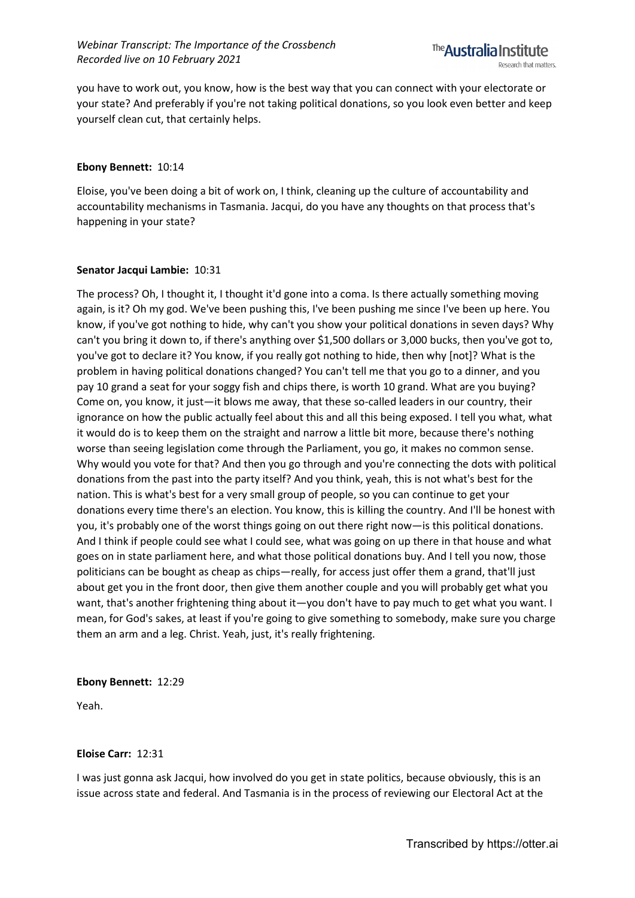you have to work out, you know, how is the best way that you can connect with your electorate or your state? And preferably if you're not taking political donations, so you look even better and keep yourself clean cut, that certainly helps.

#### **Ebony Bennett:** 10:14

Eloise, you've been doing a bit of work on, I think, cleaning up the culture of accountability and accountability mechanisms in Tasmania. Jacqui, do you have any thoughts on that process that's happening in your state?

# **Senator Jacqui Lambie:** 10:31

The process? Oh, I thought it, I thought it'd gone into a coma. Is there actually something moving again, is it? Oh my god. We've been pushing this, I've been pushing me since I've been up here. You know, if you've got nothing to hide, why can't you show your political donations in seven days? Why can't you bring it down to, if there's anything over \$1,500 dollars or 3,000 bucks, then you've got to, you've got to declare it? You know, if you really got nothing to hide, then why [not]? What is the problem in having political donations changed? You can't tell me that you go to a dinner, and you pay 10 grand a seat for your soggy fish and chips there, is worth 10 grand. What are you buying? Come on, you know, it just—it blows me away, that these so-called leaders in our country, their ignorance on how the public actually feel about this and all this being exposed. I tell you what, what it would do is to keep them on the straight and narrow a little bit more, because there's nothing worse than seeing legislation come through the Parliament, you go, it makes no common sense. Why would you vote for that? And then you go through and you're connecting the dots with political donations from the past into the party itself? And you think, yeah, this is not what's best for the nation. This is what's best for a very small group of people, so you can continue to get your donations every time there's an election. You know, this is killing the country. And I'll be honest with you, it's probably one of the worst things going on out there right now—is this political donations. And I think if people could see what I could see, what was going on up there in that house and what goes on in state parliament here, and what those political donations buy. And I tell you now, those politicians can be bought as cheap as chips—really, for access just offer them a grand, that'll just about get you in the front door, then give them another couple and you will probably get what you want, that's another frightening thing about it—you don't have to pay much to get what you want. I mean, for God's sakes, at least if you're going to give something to somebody, make sure you charge them an arm and a leg. Christ. Yeah, just, it's really frightening.

#### **Ebony Bennett:** 12:29

Yeah.

# **Eloise Carr:** 12:31

I was just gonna ask Jacqui, how involved do you get in state politics, because obviously, this is an issue across state and federal. And Tasmania is in the process of reviewing our Electoral Act at the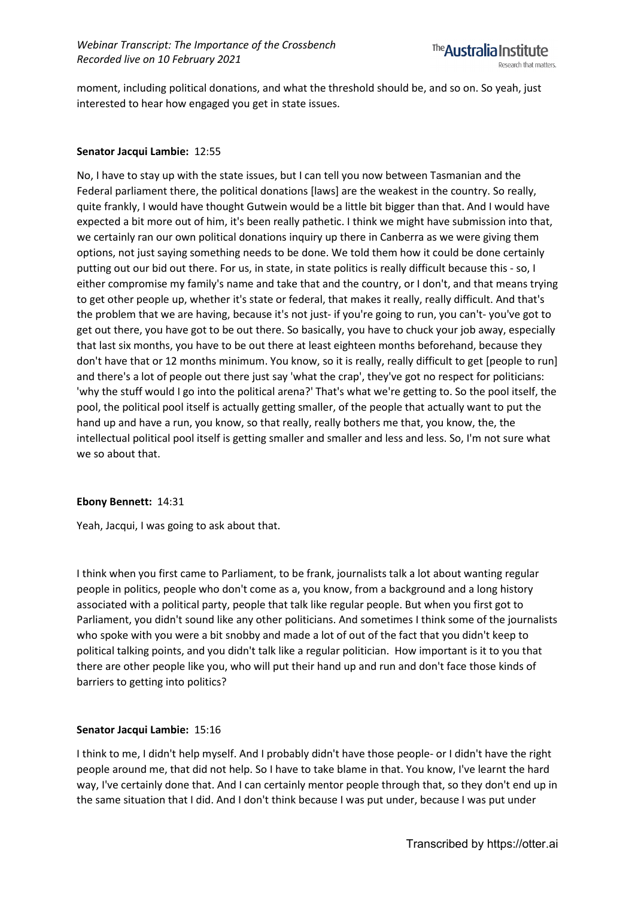

moment, including political donations, and what the threshold should be, and so on. So yeah, just interested to hear how engaged you get in state issues.

# **Senator Jacqui Lambie:** 12:55

No, I have to stay up with the state issues, but I can tell you now between Tasmanian and the Federal parliament there, the political donations [laws] are the weakest in the country. So really, quite frankly, I would have thought Gutwein would be a little bit bigger than that. And I would have expected a bit more out of him, it's been really pathetic. I think we might have submission into that, we certainly ran our own political donations inquiry up there in Canberra as we were giving them options, not just saying something needs to be done. We told them how it could be done certainly putting out our bid out there. For us, in state, in state politics is really difficult because this - so, I either compromise my family's name and take that and the country, or I don't, and that means trying to get other people up, whether it's state or federal, that makes it really, really difficult. And that's the problem that we are having, because it's not just- if you're going to run, you can't- you've got to get out there, you have got to be out there. So basically, you have to chuck your job away, especially that last six months, you have to be out there at least eighteen months beforehand, because they don't have that or 12 months minimum. You know, so it is really, really difficult to get [people to run] and there's a lot of people out there just say 'what the crap', they've got no respect for politicians: 'why the stuff would I go into the political arena?' That's what we're getting to. So the pool itself, the pool, the political pool itself is actually getting smaller, of the people that actually want to put the hand up and have a run, you know, so that really, really bothers me that, you know, the, the intellectual political pool itself is getting smaller and smaller and less and less. So, I'm not sure what we so about that.

# **Ebony Bennett:** 14:31

Yeah, Jacqui, I was going to ask about that.

I think when you first came to Parliament, to be frank, journalists talk a lot about wanting regular people in politics, people who don't come as a, you know, from a background and a long history associated with a political party, people that talk like regular people. But when you first got to Parliament, you didn't sound like any other politicians. And sometimes I think some of the journalists who spoke with you were a bit snobby and made a lot of out of the fact that you didn't keep to political talking points, and you didn't talk like a regular politician. How important is it to you that there are other people like you, who will put their hand up and run and don't face those kinds of barriers to getting into politics?

# **Senator Jacqui Lambie:** 15:16

I think to me, I didn't help myself. And I probably didn't have those people- or I didn't have the right people around me, that did not help. So I have to take blame in that. You know, I've learnt the hard way, I've certainly done that. And I can certainly mentor people through that, so they don't end up in the same situation that I did. And I don't think because I was put under, because I was put under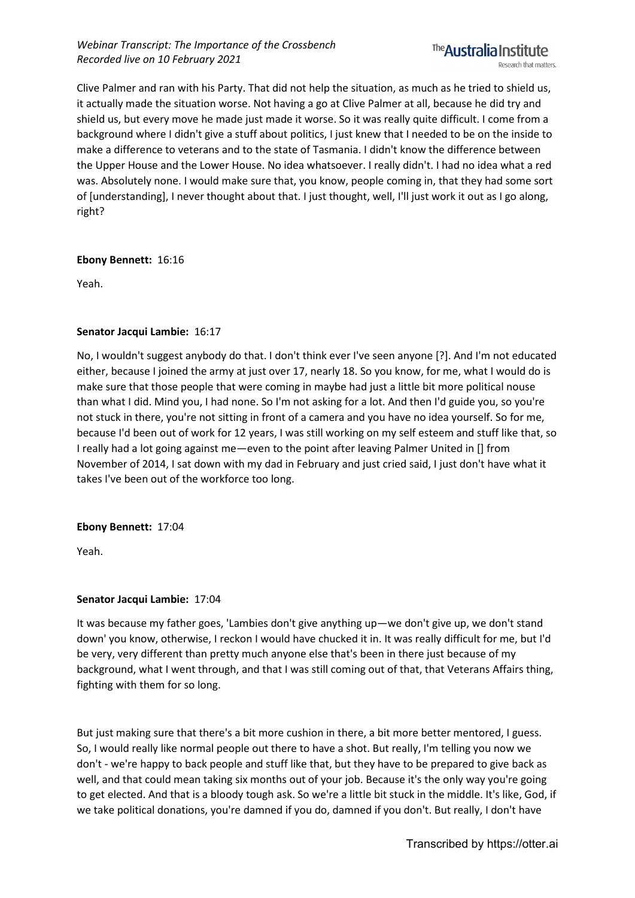Clive Palmer and ran with his Party. That did not help the situation, as much as he tried to shield us, it actually made the situation worse. Not having a go at Clive Palmer at all, because he did try and shield us, but every move he made just made it worse. So it was really quite difficult. I come from a background where I didn't give a stuff about politics, I just knew that I needed to be on the inside to make a difference to veterans and to the state of Tasmania. I didn't know the difference between the Upper House and the Lower House. No idea whatsoever. I really didn't. I had no idea what a red was. Absolutely none. I would make sure that, you know, people coming in, that they had some sort of [understanding], I never thought about that. I just thought, well, I'll just work it out as I go along, right?

# **Ebony Bennett:** 16:16

Yeah.

# **Senator Jacqui Lambie:** 16:17

No, I wouldn't suggest anybody do that. I don't think ever I've seen anyone [?]. And I'm not educated either, because I joined the army at just over 17, nearly 18. So you know, for me, what I would do is make sure that those people that were coming in maybe had just a little bit more political nouse than what I did. Mind you, I had none. So I'm not asking for a lot. And then I'd guide you, so you're not stuck in there, you're not sitting in front of a camera and you have no idea yourself. So for me, because I'd been out of work for 12 years, I was still working on my self esteem and stuff like that, so I really had a lot going against me—even to the point after leaving Palmer United in [] from November of 2014, I sat down with my dad in February and just cried said, I just don't have what it takes I've been out of the workforce too long.

# **Ebony Bennett:** 17:04

Yeah.

# **Senator Jacqui Lambie:** 17:04

It was because my father goes, 'Lambies don't give anything up—we don't give up, we don't stand down' you know, otherwise, I reckon I would have chucked it in. It was really difficult for me, but I'd be very, very different than pretty much anyone else that's been in there just because of my background, what I went through, and that I was still coming out of that, that Veterans Affairs thing, fighting with them for so long.

But just making sure that there's a bit more cushion in there, a bit more better mentored, I guess. So, I would really like normal people out there to have a shot. But really, I'm telling you now we don't - we're happy to back people and stuff like that, but they have to be prepared to give back as well, and that could mean taking six months out of your job. Because it's the only way you're going to get elected. And that is a bloody tough ask. So we're a little bit stuck in the middle. It's like, God, if we take political donations, you're damned if you do, damned if you don't. But really, I don't have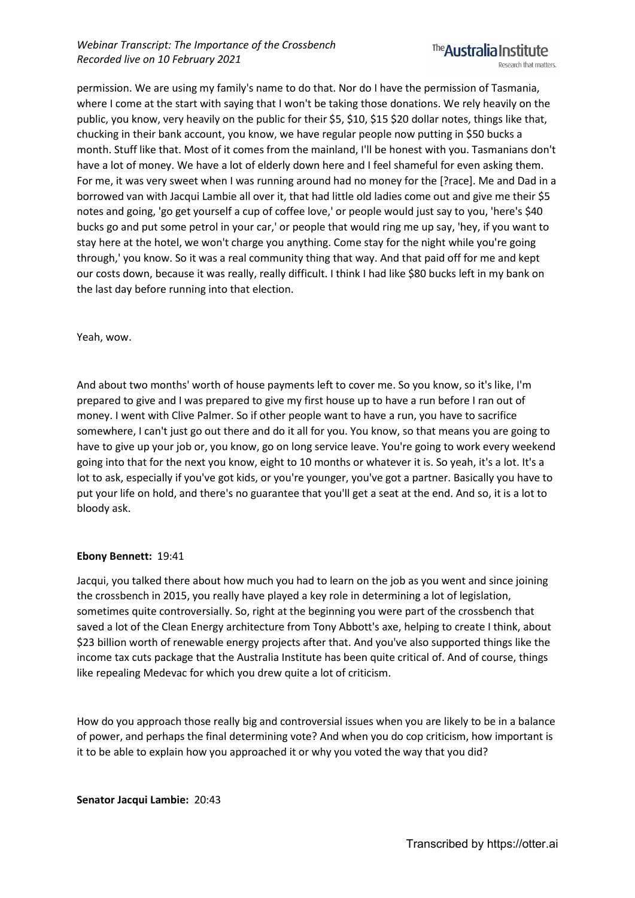permission. We are using my family's name to do that. Nor do I have the permission of Tasmania, where I come at the start with saying that I won't be taking those donations. We rely heavily on the public, you know, very heavily on the public for their \$5, \$10, \$15 \$20 dollar notes, things like that, chucking in their bank account, you know, we have regular people now putting in \$50 bucks a month. Stuff like that. Most of it comes from the mainland, I'll be honest with you. Tasmanians don't have a lot of money. We have a lot of elderly down here and I feel shameful for even asking them. For me, it was very sweet when I was running around had no money for the [?race]. Me and Dad in a borrowed van with Jacqui Lambie all over it, that had little old ladies come out and give me their \$5 notes and going, 'go get yourself a cup of coffee love,' or people would just say to you, 'here's \$40 bucks go and put some petrol in your car,' or people that would ring me up say, 'hey, if you want to stay here at the hotel, we won't charge you anything. Come stay for the night while you're going through,' you know. So it was a real community thing that way. And that paid off for me and kept our costs down, because it was really, really difficult. I think I had like \$80 bucks left in my bank on the last day before running into that election.

Yeah, wow.

And about two months' worth of house payments left to cover me. So you know, so it's like, I'm prepared to give and I was prepared to give my first house up to have a run before I ran out of money. I went with Clive Palmer. So if other people want to have a run, you have to sacrifice somewhere, I can't just go out there and do it all for you. You know, so that means you are going to have to give up your job or, you know, go on long service leave. You're going to work every weekend going into that for the next you know, eight to 10 months or whatever it is. So yeah, it's a lot. It's a lot to ask, especially if you've got kids, or you're younger, you've got a partner. Basically you have to put your life on hold, and there's no guarantee that you'll get a seat at the end. And so, it is a lot to bloody ask.

# **Ebony Bennett:** 19:41

Jacqui, you talked there about how much you had to learn on the job as you went and since joining the crossbench in 2015, you really have played a key role in determining a lot of legislation, sometimes quite controversially. So, right at the beginning you were part of the crossbench that saved a lot of the Clean Energy architecture from Tony Abbott's axe, helping to create I think, about \$23 billion worth of renewable energy projects after that. And you've also supported things like the income tax cuts package that the Australia Institute has been quite critical of. And of course, things like repealing Medevac for which you drew quite a lot of criticism.

How do you approach those really big and controversial issues when you are likely to be in a balance of power, and perhaps the final determining vote? And when you do cop criticism, how important is it to be able to explain how you approached it or why you voted the way that you did?

**Senator Jacqui Lambie:** 20:43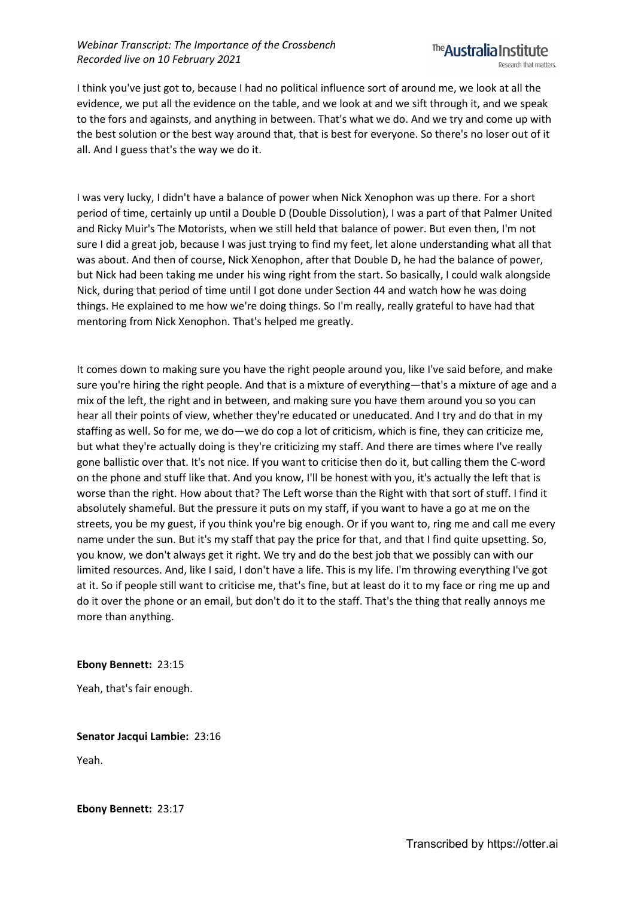# *Webinar Transcript: The Importance of the Crossbench Recorded live on 10 February 2021*



I think you've just got to, because I had no political influence sort of around me, we look at all the evidence, we put all the evidence on the table, and we look at and we sift through it, and we speak to the fors and againsts, and anything in between. That's what we do. And we try and come up with the best solution or the best way around that, that is best for everyone. So there's no loser out of it all. And I guess that's the way we do it.

I was very lucky, I didn't have a balance of power when Nick Xenophon was up there. For a short period of time, certainly up until a Double D (Double Dissolution), I was a part of that Palmer United and Ricky Muir's The Motorists, when we still held that balance of power. But even then, I'm not sure I did a great job, because I was just trying to find my feet, let alone understanding what all that was about. And then of course, Nick Xenophon, after that Double D, he had the balance of power, but Nick had been taking me under his wing right from the start. So basically, I could walk alongside Nick, during that period of time until I got done under Section 44 and watch how he was doing things. He explained to me how we're doing things. So I'm really, really grateful to have had that mentoring from Nick Xenophon. That's helped me greatly.

It comes down to making sure you have the right people around you, like I've said before, and make sure you're hiring the right people. And that is a mixture of everything—that's a mixture of age and a mix of the left, the right and in between, and making sure you have them around you so you can hear all their points of view, whether they're educated or uneducated. And I try and do that in my staffing as well. So for me, we do—we do cop a lot of criticism, which is fine, they can criticize me, but what they're actually doing is they're criticizing my staff. And there are times where I've really gone ballistic over that. It's not nice. If you want to criticise then do it, but calling them the C-word on the phone and stuff like that. And you know, I'll be honest with you, it's actually the left that is worse than the right. How about that? The Left worse than the Right with that sort of stuff. I find it absolutely shameful. But the pressure it puts on my staff, if you want to have a go at me on the streets, you be my guest, if you think you're big enough. Or if you want to, ring me and call me every name under the sun. But it's my staff that pay the price for that, and that I find quite upsetting. So, you know, we don't always get it right. We try and do the best job that we possibly can with our limited resources. And, like I said, I don't have a life. This is my life. I'm throwing everything I've got at it. So if people still want to criticise me, that's fine, but at least do it to my face or ring me up and do it over the phone or an email, but don't do it to the staff. That's the thing that really annoys me more than anything.

# **Ebony Bennett:** 23:15

Yeah, that's fair enough.

**Senator Jacqui Lambie:** 23:16

Yeah.

**Ebony Bennett:** 23:17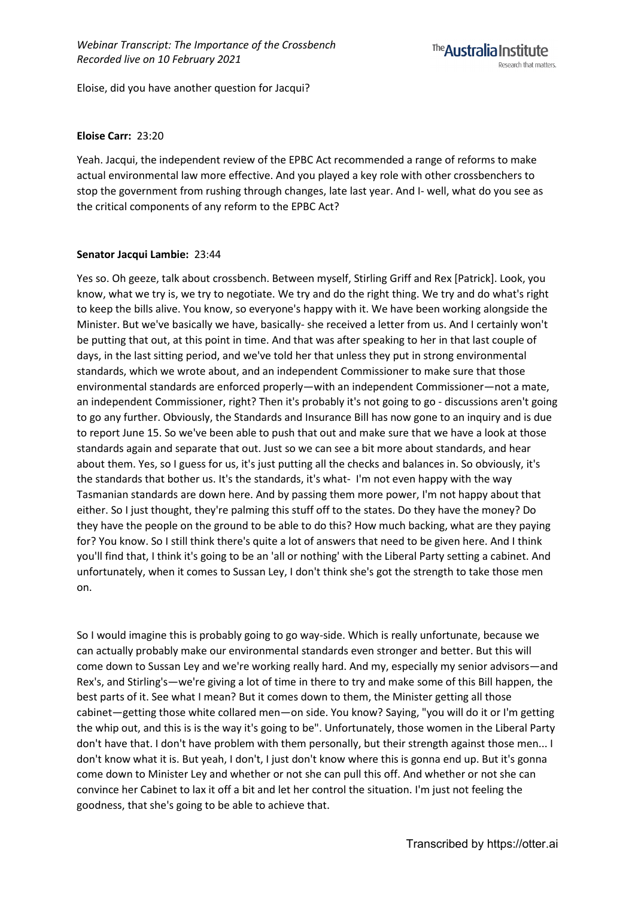Eloise, did you have another question for Jacqui?

# **Eloise Carr:** 23:20

Yeah. Jacqui, the independent review of the EPBC Act recommended a range of reforms to make actual environmental law more effective. And you played a key role with other crossbenchers to stop the government from rushing through changes, late last year. And I- well, what do you see as the critical components of any reform to the EPBC Act?

# **Senator Jacqui Lambie:** 23:44

Yes so. Oh geeze, talk about crossbench. Between myself, Stirling Griff and Rex [Patrick]. Look, you know, what we try is, we try to negotiate. We try and do the right thing. We try and do what's right to keep the bills alive. You know, so everyone's happy with it. We have been working alongside the Minister. But we've basically we have, basically- she received a letter from us. And I certainly won't be putting that out, at this point in time. And that was after speaking to her in that last couple of days, in the last sitting period, and we've told her that unless they put in strong environmental standards, which we wrote about, and an independent Commissioner to make sure that those environmental standards are enforced properly—with an independent Commissioner—not a mate, an independent Commissioner, right? Then it's probably it's not going to go - discussions aren't going to go any further. Obviously, the Standards and Insurance Bill has now gone to an inquiry and is due to report June 15. So we've been able to push that out and make sure that we have a look at those standards again and separate that out. Just so we can see a bit more about standards, and hear about them. Yes, so I guess for us, it's just putting all the checks and balances in. So obviously, it's the standards that bother us. It's the standards, it's what- I'm not even happy with the way Tasmanian standards are down here. And by passing them more power, I'm not happy about that either. So I just thought, they're palming this stuff off to the states. Do they have the money? Do they have the people on the ground to be able to do this? How much backing, what are they paying for? You know. So I still think there's quite a lot of answers that need to be given here. And I think you'll find that, I think it's going to be an 'all or nothing' with the Liberal Party setting a cabinet. And unfortunately, when it comes to Sussan Ley, I don't think she's got the strength to take those men on.

So I would imagine this is probably going to go way-side. Which is really unfortunate, because we can actually probably make our environmental standards even stronger and better. But this will come down to Sussan Ley and we're working really hard. And my, especially my senior advisors—and Rex's, and Stirling's—we're giving a lot of time in there to try and make some of this Bill happen, the best parts of it. See what I mean? But it comes down to them, the Minister getting all those cabinet—getting those white collared men—on side. You know? Saying, "you will do it or I'm getting the whip out, and this is is the way it's going to be". Unfortunately, those women in the Liberal Party don't have that. I don't have problem with them personally, but their strength against those men... I don't know what it is. But yeah, I don't, I just don't know where this is gonna end up. But it's gonna come down to Minister Ley and whether or not she can pull this off. And whether or not she can convince her Cabinet to lax it off a bit and let her control the situation. I'm just not feeling the goodness, that she's going to be able to achieve that.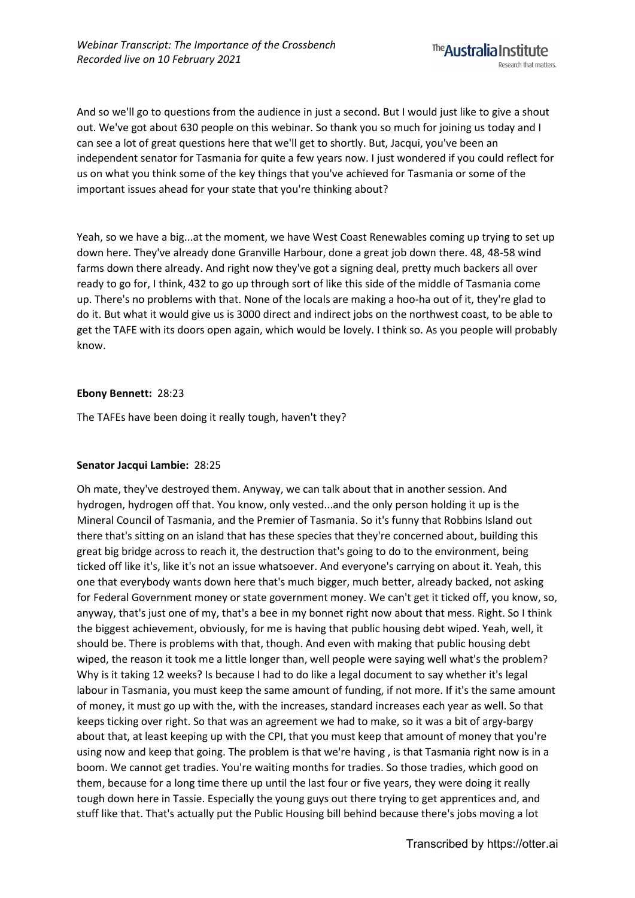And so we'll go to questions from the audience in just a second. But I would just like to give a shout out. We've got about 630 people on this webinar. So thank you so much for joining us today and I can see a lot of great questions here that we'll get to shortly. But, Jacqui, you've been an independent senator for Tasmania for quite a few years now. I just wondered if you could reflect for us on what you think some of the key things that you've achieved for Tasmania or some of the important issues ahead for your state that you're thinking about?

Yeah, so we have a big...at the moment, we have West Coast Renewables coming up trying to set up down here. They've already done Granville Harbour, done a great job down there. 48, 48-58 wind farms down there already. And right now they've got a signing deal, pretty much backers all over ready to go for, I think, 432 to go up through sort of like this side of the middle of Tasmania come up. There's no problems with that. None of the locals are making a hoo-ha out of it, they're glad to do it. But what it would give us is 3000 direct and indirect jobs on the northwest coast, to be able to get the TAFE with its doors open again, which would be lovely. I think so. As you people will probably know.

# **Ebony Bennett:** 28:23

The TAFEs have been doing it really tough, haven't they?

# **Senator Jacqui Lambie:** 28:25

Oh mate, they've destroyed them. Anyway, we can talk about that in another session. And hydrogen, hydrogen off that. You know, only vested...and the only person holding it up is the Mineral Council of Tasmania, and the Premier of Tasmania. So it's funny that Robbins Island out there that's sitting on an island that has these species that they're concerned about, building this great big bridge across to reach it, the destruction that's going to do to the environment, being ticked off like it's, like it's not an issue whatsoever. And everyone's carrying on about it. Yeah, this one that everybody wants down here that's much bigger, much better, already backed, not asking for Federal Government money or state government money. We can't get it ticked off, you know, so, anyway, that's just one of my, that's a bee in my bonnet right now about that mess. Right. So I think the biggest achievement, obviously, for me is having that public housing debt wiped. Yeah, well, it should be. There is problems with that, though. And even with making that public housing debt wiped, the reason it took me a little longer than, well people were saying well what's the problem? Why is it taking 12 weeks? Is because I had to do like a legal document to say whether it's legal labour in Tasmania, you must keep the same amount of funding, if not more. If it's the same amount of money, it must go up with the, with the increases, standard increases each year as well. So that keeps ticking over right. So that was an agreement we had to make, so it was a bit of argy-bargy about that, at least keeping up with the CPI, that you must keep that amount of money that you're using now and keep that going. The problem is that we're having , is that Tasmania right now is in a boom. We cannot get tradies. You're waiting months for tradies. So those tradies, which good on them, because for a long time there up until the last four or five years, they were doing it really tough down here in Tassie. Especially the young guys out there trying to get apprentices and, and stuff like that. That's actually put the Public Housing bill behind because there's jobs moving a lot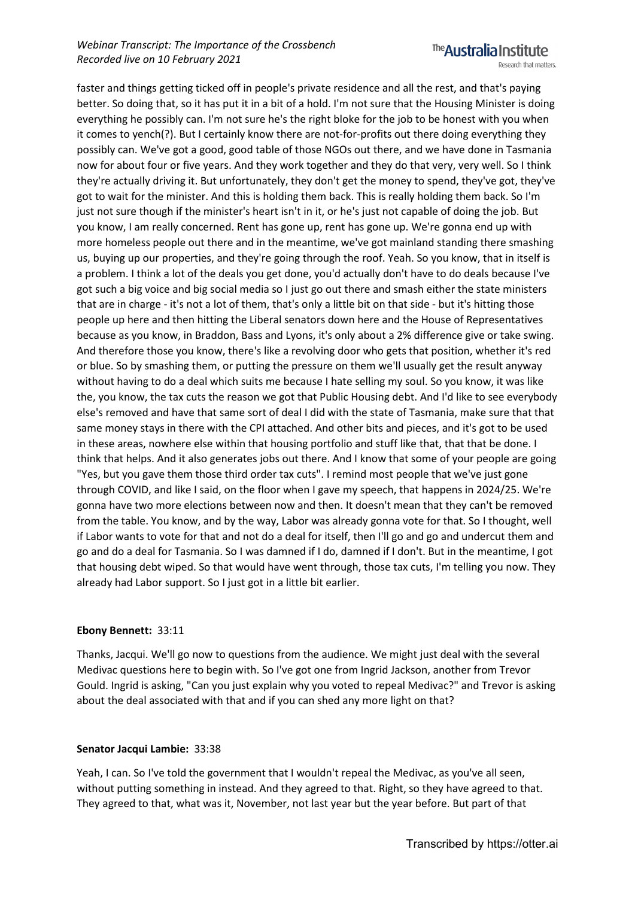# *Webinar Transcript: The Importance of the Crossbench Recorded live on 10 February 2021*



faster and things getting ticked off in people's private residence and all the rest, and that's paying better. So doing that, so it has put it in a bit of a hold. I'm not sure that the Housing Minister is doing everything he possibly can. I'm not sure he's the right bloke for the job to be honest with you when it comes to yench(?). But I certainly know there are not-for-profits out there doing everything they possibly can. We've got a good, good table of those NGOs out there, and we have done in Tasmania now for about four or five years. And they work together and they do that very, very well. So I think they're actually driving it. But unfortunately, they don't get the money to spend, they've got, they've got to wait for the minister. And this is holding them back. This is really holding them back. So I'm just not sure though if the minister's heart isn't in it, or he's just not capable of doing the job. But you know, I am really concerned. Rent has gone up, rent has gone up. We're gonna end up with more homeless people out there and in the meantime, we've got mainland standing there smashing us, buying up our properties, and they're going through the roof. Yeah. So you know, that in itself is a problem. I think a lot of the deals you get done, you'd actually don't have to do deals because I've got such a big voice and big social media so I just go out there and smash either the state ministers that are in charge - it's not a lot of them, that's only a little bit on that side - but it's hitting those people up here and then hitting the Liberal senators down here and the House of Representatives because as you know, in Braddon, Bass and Lyons, it's only about a 2% difference give or take swing. And therefore those you know, there's like a revolving door who gets that position, whether it's red or blue. So by smashing them, or putting the pressure on them we'll usually get the result anyway without having to do a deal which suits me because I hate selling my soul. So you know, it was like the, you know, the tax cuts the reason we got that Public Housing debt. And I'd like to see everybody else's removed and have that same sort of deal I did with the state of Tasmania, make sure that that same money stays in there with the CPI attached. And other bits and pieces, and it's got to be used in these areas, nowhere else within that housing portfolio and stuff like that, that that be done. I think that helps. And it also generates jobs out there. And I know that some of your people are going "Yes, but you gave them those third order tax cuts". I remind most people that we've just gone through COVID, and like I said, on the floor when I gave my speech, that happens in 2024/25. We're gonna have two more elections between now and then. It doesn't mean that they can't be removed from the table. You know, and by the way, Labor was already gonna vote for that. So I thought, well if Labor wants to vote for that and not do a deal for itself, then I'll go and go and undercut them and go and do a deal for Tasmania. So I was damned if I do, damned if I don't. But in the meantime, I got that housing debt wiped. So that would have went through, those tax cuts, I'm telling you now. They already had Labor support. So I just got in a little bit earlier.

# **Ebony Bennett:** 33:11

Thanks, Jacqui. We'll go now to questions from the audience. We might just deal with the several Medivac questions here to begin with. So I've got one from Ingrid Jackson, another from Trevor Gould. Ingrid is asking, "Can you just explain why you voted to repeal Medivac?" and Trevor is asking about the deal associated with that and if you can shed any more light on that?

# **Senator Jacqui Lambie:** 33:38

Yeah, I can. So I've told the government that I wouldn't repeal the Medivac, as you've all seen, without putting something in instead. And they agreed to that. Right, so they have agreed to that. They agreed to that, what was it, November, not last year but the year before. But part of that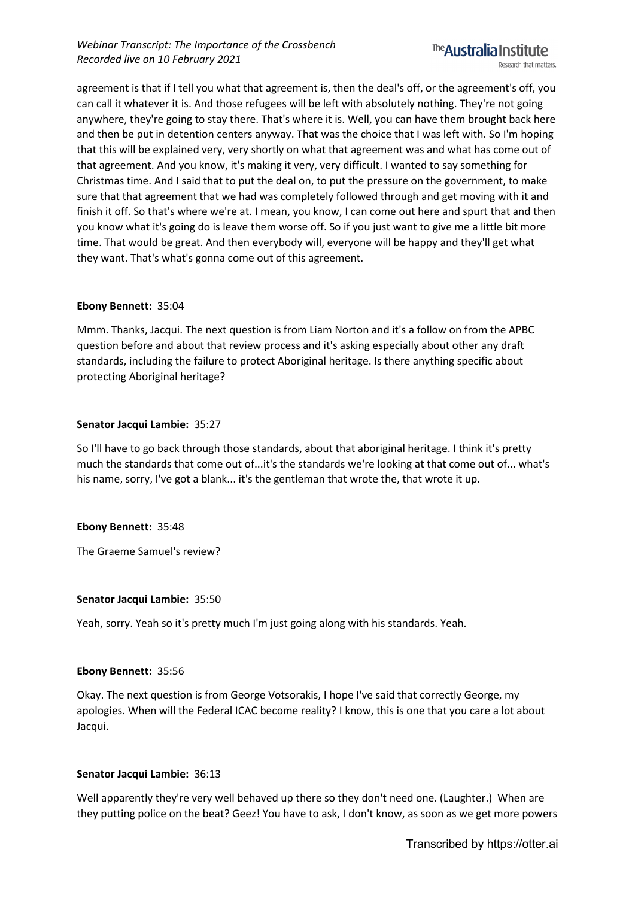

agreement is that if I tell you what that agreement is, then the deal's off, or the agreement's off, you can call it whatever it is. And those refugees will be left with absolutely nothing. They're not going anywhere, they're going to stay there. That's where it is. Well, you can have them brought back here and then be put in detention centers anyway. That was the choice that I was left with. So I'm hoping that this will be explained very, very shortly on what that agreement was and what has come out of that agreement. And you know, it's making it very, very difficult. I wanted to say something for Christmas time. And I said that to put the deal on, to put the pressure on the government, to make sure that that agreement that we had was completely followed through and get moving with it and finish it off. So that's where we're at. I mean, you know, I can come out here and spurt that and then you know what it's going do is leave them worse off. So if you just want to give me a little bit more time. That would be great. And then everybody will, everyone will be happy and they'll get what they want. That's what's gonna come out of this agreement.

# **Ebony Bennett:** 35:04

Mmm. Thanks, Jacqui. The next question is from Liam Norton and it's a follow on from the APBC question before and about that review process and it's asking especially about other any draft standards, including the failure to protect Aboriginal heritage. Is there anything specific about protecting Aboriginal heritage?

#### **Senator Jacqui Lambie:** 35:27

So I'll have to go back through those standards, about that aboriginal heritage. I think it's pretty much the standards that come out of...it's the standards we're looking at that come out of... what's his name, sorry, I've got a blank... it's the gentleman that wrote the, that wrote it up.

# **Ebony Bennett:** 35:48

The Graeme Samuel's review?

#### **Senator Jacqui Lambie:** 35:50

Yeah, sorry. Yeah so it's pretty much I'm just going along with his standards. Yeah.

#### **Ebony Bennett:** 35:56

Okay. The next question is from George Votsorakis, I hope I've said that correctly George, my apologies. When will the Federal ICAC become reality? I know, this is one that you care a lot about Jacqui.

# **Senator Jacqui Lambie:** 36:13

Well apparently they're very well behaved up there so they don't need one. (Laughter.) When are they putting police on the beat? Geez! You have to ask, I don't know, as soon as we get more powers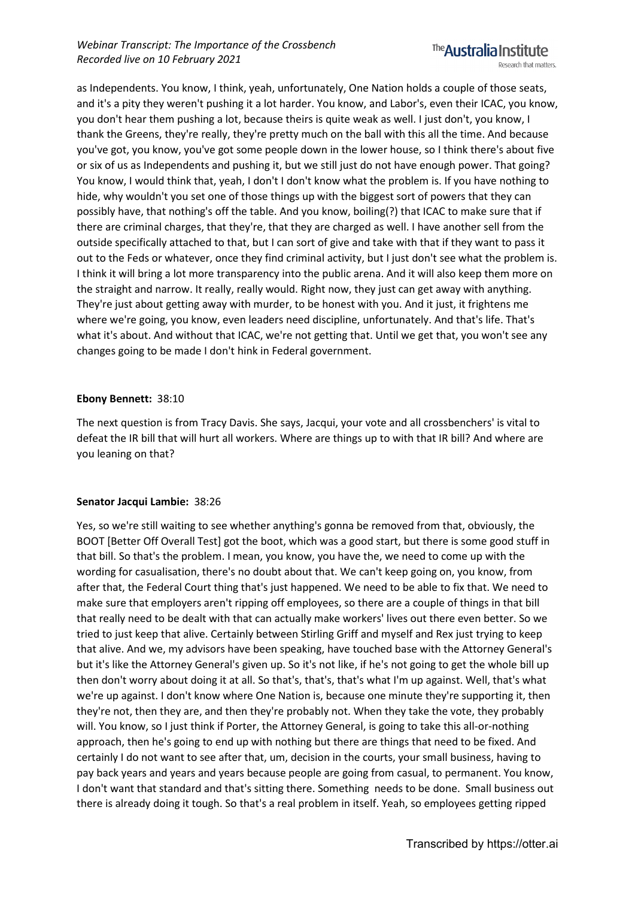

as Independents. You know, I think, yeah, unfortunately, One Nation holds a couple of those seats, and it's a pity they weren't pushing it a lot harder. You know, and Labor's, even their ICAC, you know, you don't hear them pushing a lot, because theirs is quite weak as well. I just don't, you know, I thank the Greens, they're really, they're pretty much on the ball with this all the time. And because you've got, you know, you've got some people down in the lower house, so I think there's about five or six of us as Independents and pushing it, but we still just do not have enough power. That going? You know, I would think that, yeah, I don't I don't know what the problem is. If you have nothing to hide, why wouldn't you set one of those things up with the biggest sort of powers that they can possibly have, that nothing's off the table. And you know, boiling(?) that ICAC to make sure that if there are criminal charges, that they're, that they are charged as well. I have another sell from the outside specifically attached to that, but I can sort of give and take with that if they want to pass it out to the Feds or whatever, once they find criminal activity, but I just don't see what the problem is. I think it will bring a lot more transparency into the public arena. And it will also keep them more on the straight and narrow. It really, really would. Right now, they just can get away with anything. They're just about getting away with murder, to be honest with you. And it just, it frightens me where we're going, you know, even leaders need discipline, unfortunately. And that's life. That's what it's about. And without that ICAC, we're not getting that. Until we get that, you won't see any changes going to be made I don't hink in Federal government.

#### **Ebony Bennett:** 38:10

The next question is from Tracy Davis. She says, Jacqui, your vote and all crossbenchers' is vital to defeat the IR bill that will hurt all workers. Where are things up to with that IR bill? And where are you leaning on that?

# **Senator Jacqui Lambie:** 38:26

Yes, so we're still waiting to see whether anything's gonna be removed from that, obviously, the BOOT [Better Off Overall Test] got the boot, which was a good start, but there is some good stuff in that bill. So that's the problem. I mean, you know, you have the, we need to come up with the wording for casualisation, there's no doubt about that. We can't keep going on, you know, from after that, the Federal Court thing that's just happened. We need to be able to fix that. We need to make sure that employers aren't ripping off employees, so there are a couple of things in that bill that really need to be dealt with that can actually make workers' lives out there even better. So we tried to just keep that alive. Certainly between Stirling Griff and myself and Rex just trying to keep that alive. And we, my advisors have been speaking, have touched base with the Attorney General's but it's like the Attorney General's given up. So it's not like, if he's not going to get the whole bill up then don't worry about doing it at all. So that's, that's, that's what I'm up against. Well, that's what we're up against. I don't know where One Nation is, because one minute they're supporting it, then they're not, then they are, and then they're probably not. When they take the vote, they probably will. You know, so I just think if Porter, the Attorney General, is going to take this all-or-nothing approach, then he's going to end up with nothing but there are things that need to be fixed. And certainly I do not want to see after that, um, decision in the courts, your small business, having to pay back years and years and years because people are going from casual, to permanent. You know, I don't want that standard and that's sitting there. Something needs to be done. Small business out there is already doing it tough. So that's a real problem in itself. Yeah, so employees getting ripped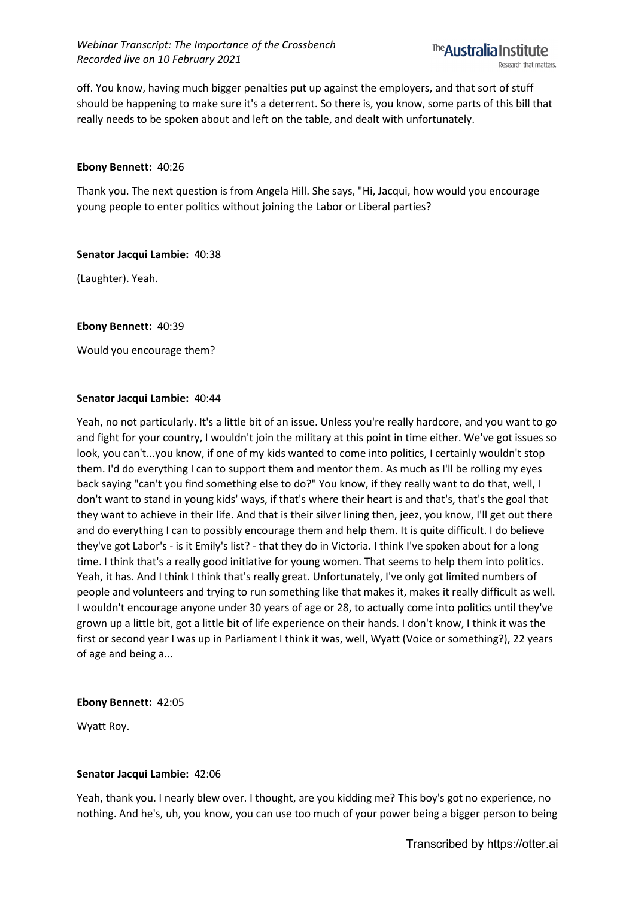off. You know, having much bigger penalties put up against the employers, and that sort of stuff should be happening to make sure it's a deterrent. So there is, you know, some parts of this bill that really needs to be spoken about and left on the table, and dealt with unfortunately.

#### **Ebony Bennett:** 40:26

Thank you. The next question is from Angela Hill. She says, "Hi, Jacqui, how would you encourage young people to enter politics without joining the Labor or Liberal parties?

#### **Senator Jacqui Lambie:** 40:38

(Laughter). Yeah.

**Ebony Bennett:** 40:39

Would you encourage them?

#### **Senator Jacqui Lambie:** 40:44

Yeah, no not particularly. It's a little bit of an issue. Unless you're really hardcore, and you want to go and fight for your country, I wouldn't join the military at this point in time either. We've got issues so look, you can't...you know, if one of my kids wanted to come into politics, I certainly wouldn't stop them. I'd do everything I can to support them and mentor them. As much as I'll be rolling my eyes back saying "can't you find something else to do?" You know, if they really want to do that, well, I don't want to stand in young kids' ways, if that's where their heart is and that's, that's the goal that they want to achieve in their life. And that is their silver lining then, jeez, you know, I'll get out there and do everything I can to possibly encourage them and help them. It is quite difficult. I do believe they've got Labor's - is it Emily's list? - that they do in Victoria. I think I've spoken about for a long time. I think that's a really good initiative for young women. That seems to help them into politics. Yeah, it has. And I think I think that's really great. Unfortunately, I've only got limited numbers of people and volunteers and trying to run something like that makes it, makes it really difficult as well. I wouldn't encourage anyone under 30 years of age or 28, to actually come into politics until they've grown up a little bit, got a little bit of life experience on their hands. I don't know, I think it was the first or second year I was up in Parliament I think it was, well, Wyatt (Voice or something?), 22 years of age and being a...

#### **Ebony Bennett:** 42:05

Wyatt Roy.

# **Senator Jacqui Lambie:** 42:06

Yeah, thank you. I nearly blew over. I thought, are you kidding me? This boy's got no experience, no nothing. And he's, uh, you know, you can use too much of your power being a bigger person to being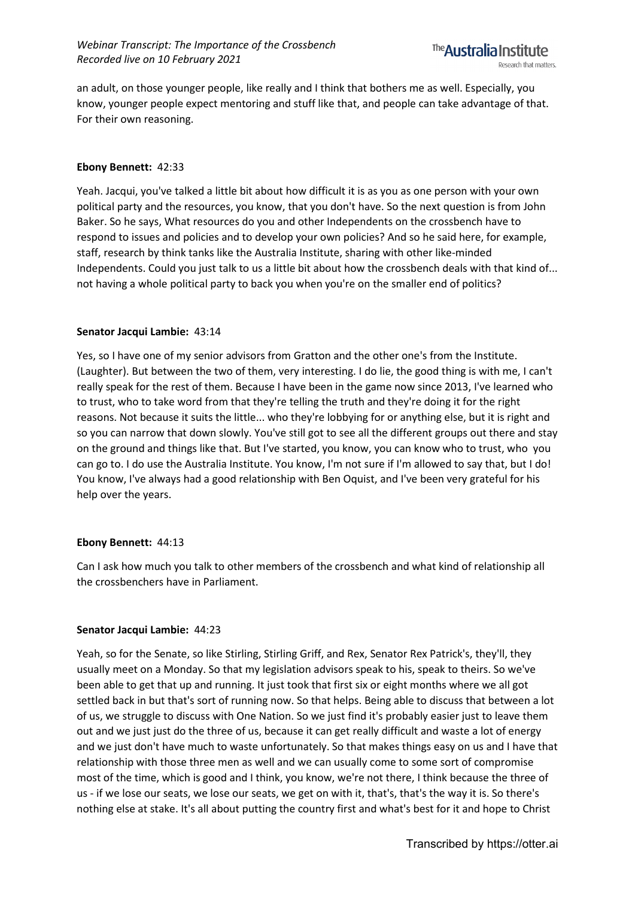an adult, on those younger people, like really and I think that bothers me as well. Especially, you know, younger people expect mentoring and stuff like that, and people can take advantage of that. For their own reasoning.

#### **Ebony Bennett:** 42:33

Yeah. Jacqui, you've talked a little bit about how difficult it is as you as one person with your own political party and the resources, you know, that you don't have. So the next question is from John Baker. So he says, What resources do you and other Independents on the crossbench have to respond to issues and policies and to develop your own policies? And so he said here, for example, staff, research by think tanks like the Australia Institute, sharing with other like-minded Independents. Could you just talk to us a little bit about how the crossbench deals with that kind of... not having a whole political party to back you when you're on the smaller end of politics?

#### **Senator Jacqui Lambie:** 43:14

Yes, so I have one of my senior advisors from Gratton and the other one's from the Institute. (Laughter). But between the two of them, very interesting. I do lie, the good thing is with me, I can't really speak for the rest of them. Because I have been in the game now since 2013, I've learned who to trust, who to take word from that they're telling the truth and they're doing it for the right reasons. Not because it suits the little... who they're lobbying for or anything else, but it is right and so you can narrow that down slowly. You've still got to see all the different groups out there and stay on the ground and things like that. But I've started, you know, you can know who to trust, who you can go to. I do use the Australia Institute. You know, I'm not sure if I'm allowed to say that, but I do! You know, I've always had a good relationship with Ben Oquist, and I've been very grateful for his help over the years.

# **Ebony Bennett:** 44:13

Can I ask how much you talk to other members of the crossbench and what kind of relationship all the crossbenchers have in Parliament.

#### **Senator Jacqui Lambie:** 44:23

Yeah, so for the Senate, so like Stirling, Stirling Griff, and Rex, Senator Rex Patrick's, they'll, they usually meet on a Monday. So that my legislation advisors speak to his, speak to theirs. So we've been able to get that up and running. It just took that first six or eight months where we all got settled back in but that's sort of running now. So that helps. Being able to discuss that between a lot of us, we struggle to discuss with One Nation. So we just find it's probably easier just to leave them out and we just just do the three of us, because it can get really difficult and waste a lot of energy and we just don't have much to waste unfortunately. So that makes things easy on us and I have that relationship with those three men as well and we can usually come to some sort of compromise most of the time, which is good and I think, you know, we're not there, I think because the three of us - if we lose our seats, we lose our seats, we get on with it, that's, that's the way it is. So there's nothing else at stake. It's all about putting the country first and what's best for it and hope to Christ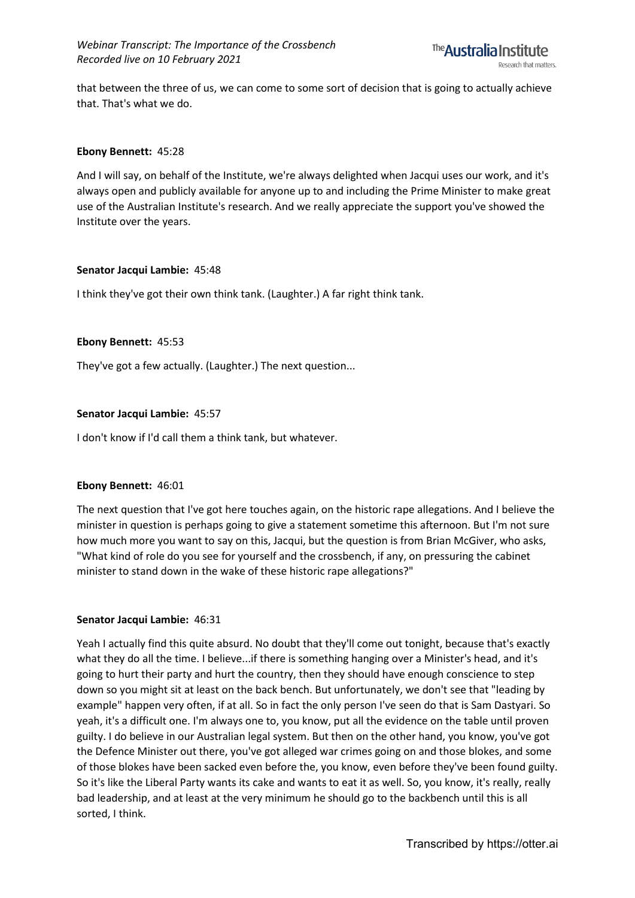

that between the three of us, we can come to some sort of decision that is going to actually achieve that. That's what we do.

#### **Ebony Bennett:** 45:28

And I will say, on behalf of the Institute, we're always delighted when Jacqui uses our work, and it's always open and publicly available for anyone up to and including the Prime Minister to make great use of the Australian Institute's research. And we really appreciate the support you've showed the Institute over the years.

#### **Senator Jacqui Lambie:** 45:48

I think they've got their own think tank. (Laughter.) A far right think tank.

#### **Ebony Bennett:** 45:53

They've got a few actually. (Laughter.) The next question...

# **Senator Jacqui Lambie:** 45:57

I don't know if I'd call them a think tank, but whatever.

# **Ebony Bennett:** 46:01

The next question that I've got here touches again, on the historic rape allegations. And I believe the minister in question is perhaps going to give a statement sometime this afternoon. But I'm not sure how much more you want to say on this, Jacqui, but the question is from Brian McGiver, who asks, "What kind of role do you see for yourself and the crossbench, if any, on pressuring the cabinet minister to stand down in the wake of these historic rape allegations?"

# **Senator Jacqui Lambie:** 46:31

Yeah I actually find this quite absurd. No doubt that they'll come out tonight, because that's exactly what they do all the time. I believe...if there is something hanging over a Minister's head, and it's going to hurt their party and hurt the country, then they should have enough conscience to step down so you might sit at least on the back bench. But unfortunately, we don't see that "leading by example" happen very often, if at all. So in fact the only person I've seen do that is Sam Dastyari. So yeah, it's a difficult one. I'm always one to, you know, put all the evidence on the table until proven guilty. I do believe in our Australian legal system. But then on the other hand, you know, you've got the Defence Minister out there, you've got alleged war crimes going on and those blokes, and some of those blokes have been sacked even before the, you know, even before they've been found guilty. So it's like the Liberal Party wants its cake and wants to eat it as well. So, you know, it's really, really bad leadership, and at least at the very minimum he should go to the backbench until this is all sorted, I think.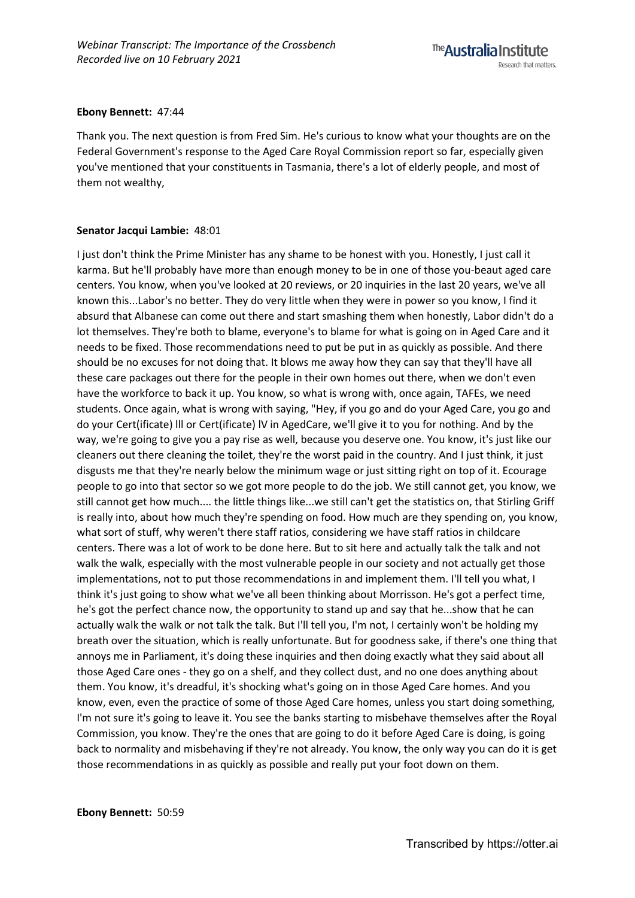#### **Ebony Bennett:** 47:44

Thank you. The next question is from Fred Sim. He's curious to know what your thoughts are on the Federal Government's response to the Aged Care Royal Commission report so far, especially given you've mentioned that your constituents in Tasmania, there's a lot of elderly people, and most of them not wealthy,

#### **Senator Jacqui Lambie:** 48:01

I just don't think the Prime Minister has any shame to be honest with you. Honestly, I just call it karma. But he'll probably have more than enough money to be in one of those you-beaut aged care centers. You know, when you've looked at 20 reviews, or 20 inquiries in the last 20 years, we've all known this...Labor's no better. They do very little when they were in power so you know, I find it absurd that Albanese can come out there and start smashing them when honestly, Labor didn't do a lot themselves. They're both to blame, everyone's to blame for what is going on in Aged Care and it needs to be fixed. Those recommendations need to put be put in as quickly as possible. And there should be no excuses for not doing that. It blows me away how they can say that they'll have all these care packages out there for the people in their own homes out there, when we don't even have the workforce to back it up. You know, so what is wrong with, once again, TAFEs, we need students. Once again, what is wrong with saying, "Hey, if you go and do your Aged Care, you go and do your Cert(ificate) lll or Cert(ificate) lV in AgedCare, we'll give it to you for nothing. And by the way, we're going to give you a pay rise as well, because you deserve one. You know, it's just like our cleaners out there cleaning the toilet, they're the worst paid in the country. And I just think, it just disgusts me that they're nearly below the minimum wage or just sitting right on top of it. Ecourage people to go into that sector so we got more people to do the job. We still cannot get, you know, we still cannot get how much.... the little things like...we still can't get the statistics on, that Stirling Griff is really into, about how much they're spending on food. How much are they spending on, you know, what sort of stuff, why weren't there staff ratios, considering we have staff ratios in childcare centers. There was a lot of work to be done here. But to sit here and actually talk the talk and not walk the walk, especially with the most vulnerable people in our society and not actually get those implementations, not to put those recommendations in and implement them. I'll tell you what, I think it's just going to show what we've all been thinking about Morrisson. He's got a perfect time, he's got the perfect chance now, the opportunity to stand up and say that he...show that he can actually walk the walk or not talk the talk. But I'll tell you, I'm not, I certainly won't be holding my breath over the situation, which is really unfortunate. But for goodness sake, if there's one thing that annoys me in Parliament, it's doing these inquiries and then doing exactly what they said about all those Aged Care ones - they go on a shelf, and they collect dust, and no one does anything about them. You know, it's dreadful, it's shocking what's going on in those Aged Care homes. And you know, even, even the practice of some of those Aged Care homes, unless you start doing something, I'm not sure it's going to leave it. You see the banks starting to misbehave themselves after the Royal Commission, you know. They're the ones that are going to do it before Aged Care is doing, is going back to normality and misbehaving if they're not already. You know, the only way you can do it is get those recommendations in as quickly as possible and really put your foot down on them.

**Ebony Bennett:** 50:59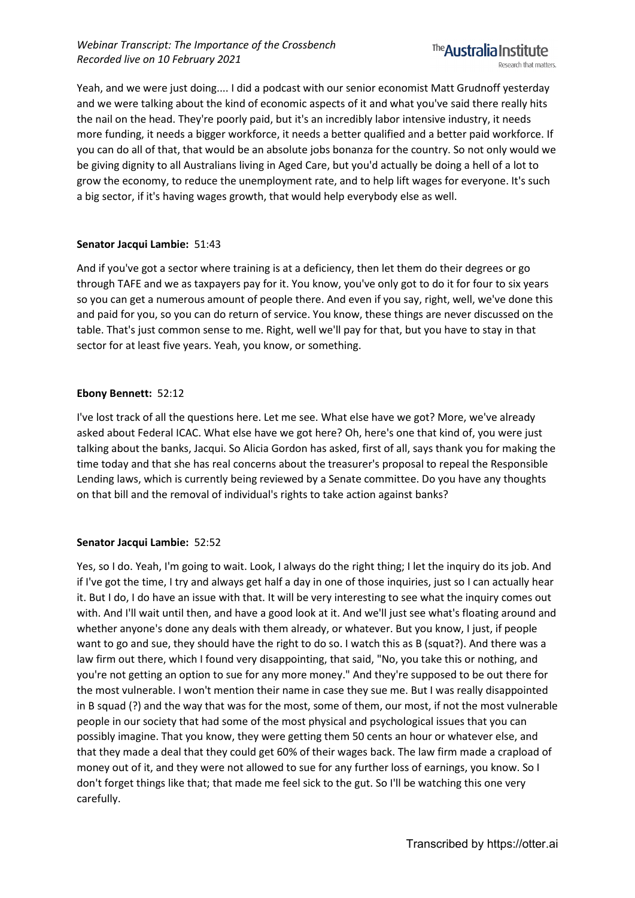Yeah, and we were just doing.... I did a podcast with our senior economist Matt Grudnoff yesterday and we were talking about the kind of economic aspects of it and what you've said there really hits the nail on the head. They're poorly paid, but it's an incredibly labor intensive industry, it needs more funding, it needs a bigger workforce, it needs a better qualified and a better paid workforce. If you can do all of that, that would be an absolute jobs bonanza for the country. So not only would we be giving dignity to all Australians living in Aged Care, but you'd actually be doing a hell of a lot to grow the economy, to reduce the unemployment rate, and to help lift wages for everyone. It's such a big sector, if it's having wages growth, that would help everybody else as well.

# **Senator Jacqui Lambie:** 51:43

And if you've got a sector where training is at a deficiency, then let them do their degrees or go through TAFE and we as taxpayers pay for it. You know, you've only got to do it for four to six years so you can get a numerous amount of people there. And even if you say, right, well, we've done this and paid for you, so you can do return of service. You know, these things are never discussed on the table. That's just common sense to me. Right, well we'll pay for that, but you have to stay in that sector for at least five years. Yeah, you know, or something.

# **Ebony Bennett:** 52:12

I've lost track of all the questions here. Let me see. What else have we got? More, we've already asked about Federal ICAC. What else have we got here? Oh, here's one that kind of, you were just talking about the banks, Jacqui. So Alicia Gordon has asked, first of all, says thank you for making the time today and that she has real concerns about the treasurer's proposal to repeal the Responsible Lending laws, which is currently being reviewed by a Senate committee. Do you have any thoughts on that bill and the removal of individual's rights to take action against banks?

# **Senator Jacqui Lambie:** 52:52

Yes, so I do. Yeah, I'm going to wait. Look, I always do the right thing; I let the inquiry do its job. And if I've got the time, I try and always get half a day in one of those inquiries, just so I can actually hear it. But I do, I do have an issue with that. It will be very interesting to see what the inquiry comes out with. And I'll wait until then, and have a good look at it. And we'll just see what's floating around and whether anyone's done any deals with them already, or whatever. But you know, I just, if people want to go and sue, they should have the right to do so. I watch this as B (squat?). And there was a law firm out there, which I found very disappointing, that said, "No, you take this or nothing, and you're not getting an option to sue for any more money." And they're supposed to be out there for the most vulnerable. I won't mention their name in case they sue me. But I was really disappointed in B squad (?) and the way that was for the most, some of them, our most, if not the most vulnerable people in our society that had some of the most physical and psychological issues that you can possibly imagine. That you know, they were getting them 50 cents an hour or whatever else, and that they made a deal that they could get 60% of their wages back. The law firm made a crapload of money out of it, and they were not allowed to sue for any further loss of earnings, you know. So I don't forget things like that; that made me feel sick to the gut. So I'll be watching this one very carefully.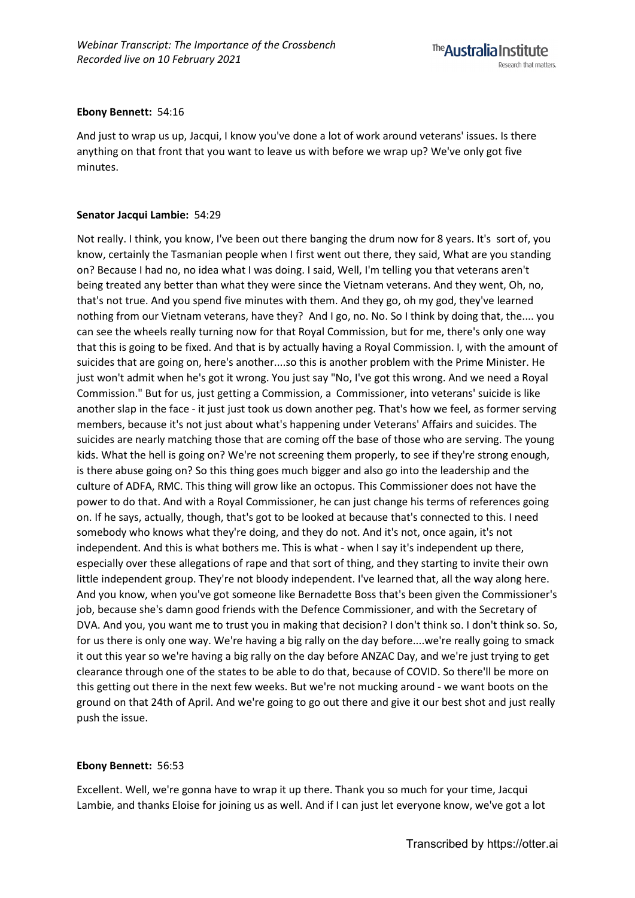#### **Ebony Bennett:** 54:16

And just to wrap us up, Jacqui, I know you've done a lot of work around veterans' issues. Is there anything on that front that you want to leave us with before we wrap up? We've only got five minutes.

# **Senator Jacqui Lambie:** 54:29

Not really. I think, you know, I've been out there banging the drum now for 8 years. It's sort of, you know, certainly the Tasmanian people when I first went out there, they said, What are you standing on? Because I had no, no idea what I was doing. I said, Well, I'm telling you that veterans aren't being treated any better than what they were since the Vietnam veterans. And they went, Oh, no, that's not true. And you spend five minutes with them. And they go, oh my god, they've learned nothing from our Vietnam veterans, have they? And I go, no. No. So I think by doing that, the.... you can see the wheels really turning now for that Royal Commission, but for me, there's only one way that this is going to be fixed. And that is by actually having a Royal Commission. I, with the amount of suicides that are going on, here's another....so this is another problem with the Prime Minister. He just won't admit when he's got it wrong. You just say "No, I've got this wrong. And we need a Royal Commission." But for us, just getting a Commission, a Commissioner, into veterans' suicide is like another slap in the face - it just just took us down another peg. That's how we feel, as former serving members, because it's not just about what's happening under Veterans' Affairs and suicides. The suicides are nearly matching those that are coming off the base of those who are serving. The young kids. What the hell is going on? We're not screening them properly, to see if they're strong enough, is there abuse going on? So this thing goes much bigger and also go into the leadership and the culture of ADFA, RMC. This thing will grow like an octopus. This Commissioner does not have the power to do that. And with a Royal Commissioner, he can just change his terms of references going on. If he says, actually, though, that's got to be looked at because that's connected to this. I need somebody who knows what they're doing, and they do not. And it's not, once again, it's not independent. And this is what bothers me. This is what - when I say it's independent up there, especially over these allegations of rape and that sort of thing, and they starting to invite their own little independent group. They're not bloody independent. I've learned that, all the way along here. And you know, when you've got someone like Bernadette Boss that's been given the Commissioner's job, because she's damn good friends with the Defence Commissioner, and with the Secretary of DVA. And you, you want me to trust you in making that decision? I don't think so. I don't think so. So, for us there is only one way. We're having a big rally on the day before....we're really going to smack it out this year so we're having a big rally on the day before ANZAC Day, and we're just trying to get clearance through one of the states to be able to do that, because of COVID. So there'll be more on this getting out there in the next few weeks. But we're not mucking around - we want boots on the ground on that 24th of April. And we're going to go out there and give it our best shot and just really push the issue.

# **Ebony Bennett:** 56:53

Excellent. Well, we're gonna have to wrap it up there. Thank you so much for your time, Jacqui Lambie, and thanks Eloise for joining us as well. And if I can just let everyone know, we've got a lot